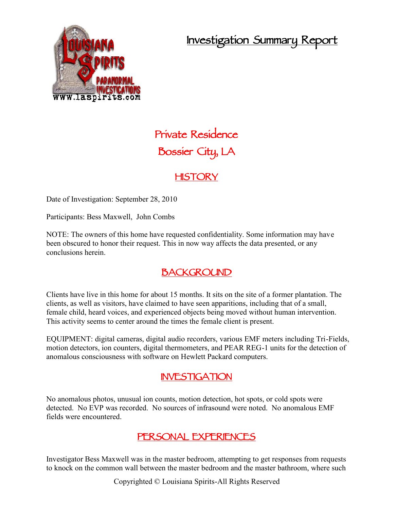## **Investigation Summary Report**



# **Private Residence Bossier City, LA**

#### **HISTORY**

Date of Investigation: September 28, 2010

Participants: Bess Maxwell, John Combs

NOTE: The owners of this home have requested confidentiality. Some information may have been obscured to honor their request. This in now way affects the data presented, or any conclusions herein.

#### **BACKGROUND**

Clients have live in this home for about 15 months. It sits on the site of a former plantation. The clients, as well as visitors, have claimed to have seen apparitions, including that of a small, female child, heard voices, and experienced objects being moved without human intervention. This activity seems to center around the times the female client is present.

EQUIPMENT: digital cameras, digital audio recorders, various EMF meters including Tri-Fields, motion detectors, ion counters, digital thermometers, and PEAR REG-1 units for the detection of anomalous consciousness with software on Hewlett Packard computers.

#### **INVESTIGATION**

No anomalous photos, unusual ion counts, motion detection, hot spots, or cold spots were detected. No EVP was recorded. No sources of infrasound were noted. No anomalous EMF fields were encountered.

#### **PERSONAL EXPERIENCES**

Investigator Bess Maxwell was in the master bedroom, attempting to get responses from requests to knock on the common wall between the master bedroom and the master bathroom, where such

Copyrighted © Louisiana Spirits-All Rights Reserved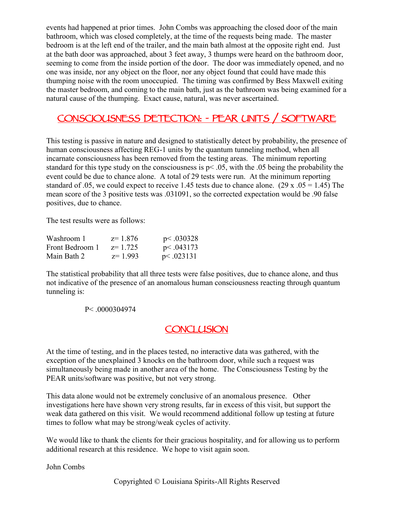events had happened at prior times. John Combs was approaching the closed door of the main bathroom, which was closed completely, at the time of the requests being made. The master bedroom is at the left end of the trailer, and the main bath almost at the opposite right end. Just at the bath door was approached, about 3 feet away, 3 thumps were heard on the bathroom door, seeming to come from the inside portion of the door. The door was immediately opened, and no one was inside, nor any object on the floor, nor any object found that could have made this thumping noise with the room unoccupied. The timing was confirmed by Bess Maxwell exiting the master bedroom, and coming to the main bath, just as the bathroom was being examined for a natural cause of the thumping. Exact cause, natural, was never ascertained.

### **CONSCIOUSNESS DETECTION: - PEAR UNITS / SOFTWARE**

This testing is passive in nature and designed to statistically detect by probability, the presence of human consciousness affecting REG-1 units by the quantum tunneling method, when all incarnate consciousness has been removed from the testing areas. The minimum reporting standard for this type study on the consciousness is  $p < .05$ , with the .05 being the probability the event could be due to chance alone. A total of 29 tests were run. At the minimum reporting standard of .05, we could expect to receive 1.45 tests due to chance alone. (29 x .05 = 1.45) The mean score of the 3 positive tests was .031091, so the corrected expectation would be .90 false positives, due to chance.

The test results were as follows:

| Washroom 1      | $z=1.876$ | p<.030328   |  |
|-----------------|-----------|-------------|--|
| Front Bedroom 1 | z= 1.725  | p < .043173 |  |
| Main Bath 2     | $z=1.993$ | p<.023131   |  |

The statistical probability that all three tests were false positives, due to chance alone, and thus not indicative of the presence of an anomalous human consciousness reacting through quantum tunneling is:

#### P< .0000304974

#### **CONCLUSION**

At the time of testing, and in the places tested, no interactive data was gathered, with the exception of the unexplained 3 knocks on the bathroom door, while such a request was simultaneously being made in another area of the home. The Consciousness Testing by the PEAR units/software was positive, but not very strong.

This data alone would not be extremely conclusive of an anomalous presence. Other investigations here have shown very strong results, far in excess of this visit, but support the weak data gathered on this visit. We would recommend additional follow up testing at future times to follow what may be strong/weak cycles of activity.

We would like to thank the clients for their gracious hospitality, and for allowing us to perform additional research at this residence. We hope to visit again soon.

John Combs

Copyrighted © Louisiana Spirits-All Rights Reserved